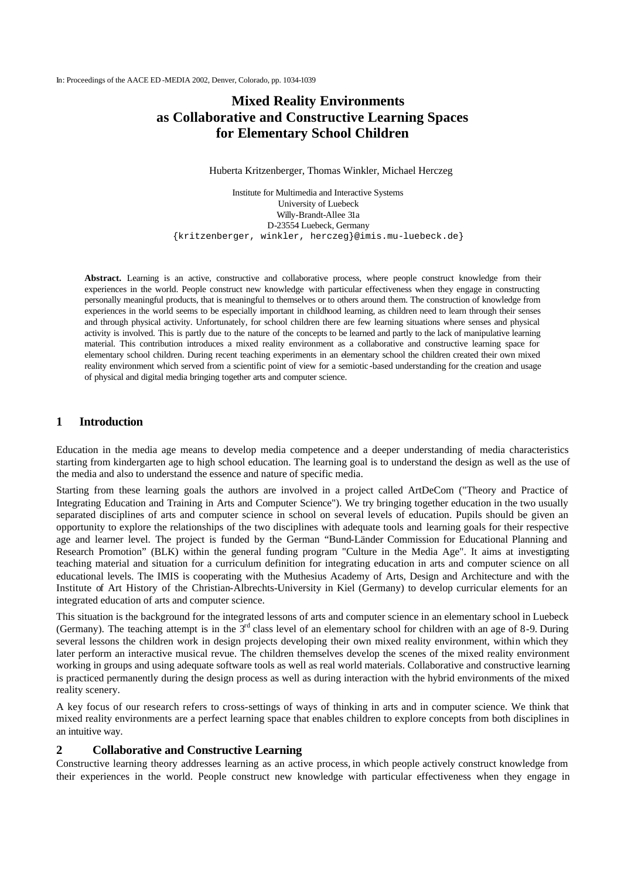# **Mixed Reality Environments as Collaborative and Constructive Learning Spaces for Elementary School Children**

Huberta Kritzenberger, Thomas Winkler, Michael Herczeg

Institute for Multimedia and Interactive Systems University of Luebeck Willy-Brandt-Allee 31a D-23554 Luebeck, Germany {kritzenberger, winkler, herczeg}@imis.mu-luebeck.de}

**Abstract.** Learning is an active, constructive and collaborative process, where people construct knowledge from their experiences in the world. People construct new knowledge with particular effectiveness when they engage in constructing personally meaningful products, that is meaningful to themselves or to others around them. The construction of knowledge from experiences in the world seems to be especially important in childhood learning, as children need to learn through their senses and through physical activity. Unfortunately, for school children there are few learning situations where senses and physical activity is involved. This is partly due to the nature of the concepts to be learned and partly to the lack of manipulative learning material. This contribution introduces a mixed reality environment as a collaborative and constructive learning space for elementary school children. During recent teaching experiments in an elementary school the children created their own mixed reality environment which served from a scientific point of view for a semiotic -based understanding for the creation and usage of physical and digital media bringing together arts and computer science.

## **1 Introduction**

Education in the media age means to develop media competence and a deeper understanding of media characteristics starting from kindergarten age to high school education. The learning goal is to understand the design as well as the use of the media and also to understand the essence and nature of specific media.

Starting from these learning goals the authors are involved in a project called ArtDeCom ("Theory and Practice of Integrating Education and Training in Arts and Computer Science"). We try bringing together education in the two usually separated disciplines of arts and computer science in school on several levels of education. Pupils should be given an opportunity to explore the relationships of the two disciplines with adequate tools and learning goals for their respective age and learner level. The project is funded by the German "Bund-Länder Commission for Educational Planning and Research Promotion" (BLK) within the general funding program "Culture in the Media Age". It aims at investigating teaching material and situation for a curriculum definition for integrating education in arts and computer science on all educational levels. The IMIS is cooperating with the Muthesius Academy of Arts, Design and Architecture and with the Institute of Art History of the Christian-Albrechts-University in Kiel (Germany) to develop curricular elements for an integrated education of arts and computer science.

This situation is the background for the integrated lessons of arts and computer science in an elementary school in Luebeck (Germany). The teaching attempt is in the  $3<sup>rd</sup>$  class level of an elementary school for children with an age of 8-9. During several lessons the children work in design projects developing their own mixed reality environment, within which they later perform an interactive musical revue. The children themselves develop the scenes of the mixed reality environment working in groups and using adequate software tools as well as real world materials. Collaborative and constructive learning is practiced permanently during the design process as well as during interaction with the hybrid environments of the mixed reality scenery.

A key focus of our research refers to cross-settings of ways of thinking in arts and in computer science. We think that mixed reality environments are a perfect learning space that enables children to explore concepts from both disciplines in an intuitive way.

### **2 Collaborative and Constructive Learning**

Constructive learning theory addresses learning as an active process, in which people actively construct knowledge from their experiences in the world. People construct new knowledge with particular effectiveness when they engage in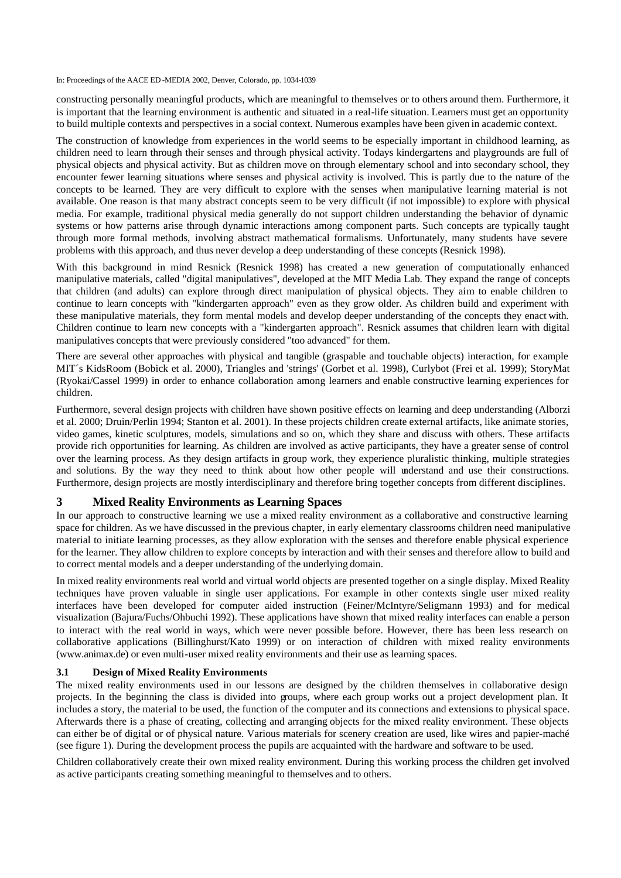constructing personally meaningful products, which are meaningful to themselves or to others around them. Furthermore, it is important that the learning environment is authentic and situated in a real-life situation. Learners must get an opportunity to build multiple contexts and perspectives in a social context. Numerous examples have been given in academic context.

The construction of knowledge from experiences in the world seems to be especially important in childhood learning, as children need to learn through their senses and through physical activity. Todays kindergartens and playgrounds are full of physical objects and physical activity. But as children move on through elementary school and into secondary school, they encounter fewer learning situations where senses and physical activity is involved. This is partly due to the nature of the concepts to be learned. They are very difficult to explore with the senses when manipulative learning material is not available. One reason is that many abstract concepts seem to be very difficult (if not impossible) to explore with physical media. For example, traditional physical media generally do not support children understanding the behavior of dynamic systems or how patterns arise through dynamic interactions among component parts. Such concepts are typically taught through more formal methods, involving abstract mathematical formalisms. Unfortunately, many students have severe problems with this approach, and thus never develop a deep understanding of these concepts (Resnick 1998).

With this background in mind Resnick (Resnick 1998) has created a new generation of computationally enhanced manipulative materials, called "digital manipulatives", developed at the MIT Media Lab. They expand the range of concepts that children (and adults) can explore through direct manipulation of physical objects. They aim to enable children to continue to learn concepts with "kindergarten approach" even as they grow older. As children build and experiment with these manipulative materials, they form mental models and develop deeper understanding of the concepts they enact with. Children continue to learn new concepts with a "kindergarten approach". Resnick assumes that children learn with digital manipulatives concepts that were previously considered "too advanced" for them.

There are several other approaches with physical and tangible (graspable and touchable objects) interaction, for example MIT´s KidsRoom (Bobick et al. 2000), Triangles and 'strings' (Gorbet et al. 1998), Curlybot (Frei et al. 1999); StoryMat (Ryokai/Cassel 1999) in order to enhance collaboration among learners and enable constructive learning experiences for children.

Furthermore, several design projects with children have shown positive effects on learning and deep understanding (Alborzi et al. 2000; Druin/Perlin 1994; Stanton et al. 2001). In these projects children create external artifacts, like animate stories, video games, kinetic sculptures, models, simulations and so on, which they share and discuss with others. These artifacts provide rich opportunities for learning. As children are involved as active participants, they have a greater sense of control over the learning process. As they design artifacts in group work, they experience pluralistic thinking, multiple strategies and solutions. By the way they need to think about how other people will understand and use their constructions. Furthermore, design projects are mostly interdisciplinary and therefore bring together concepts from different disciplines.

## **3 Mixed Reality Environments as Learning Spaces**

In our approach to constructive learning we use a mixed reality environment as a collaborative and constructive learning space for children. As we have discussed in the previous chapter, in early elementary classrooms children need manipulative material to initiate learning processes, as they allow exploration with the senses and therefore enable physical experience for the learner. They allow children to explore concepts by interaction and with their senses and therefore allow to build and to correct mental models and a deeper understanding of the underlying domain.

In mixed reality environments real world and virtual world objects are presented together on a single display. Mixed Reality techniques have proven valuable in single user applications. For example in other contexts single user mixed reality interfaces have been developed for computer aided instruction (Feiner/McIntyre/Seligmann 1993) and for medical visualization (Bajura/Fuchs/Ohbuchi 1992). These applications have shown that mixed reality interfaces can enable a person to interact with the real world in ways, which were never possible before. However, there has been less research on collaborative applications (Billinghurst/Kato 1999) or on interaction of children with mixed reality environments (www.animax.de) or even multi-user mixed reality environments and their use as learning spaces.

#### **3.1 Design of Mixed Reality Environments**

The mixed reality environments used in our lessons are designed by the children themselves in collaborative design projects. In the beginning the class is divided into groups, where each group works out a project development plan. It includes a story, the material to be used, the function of the computer and its connections and extensions to physical space. Afterwards there is a phase of creating, collecting and arranging objects for the mixed reality environment. These objects can either be of digital or of physical nature. Various materials for scenery creation are used, like wires and papier-maché (see figure 1). During the development process the pupils are acquainted with the hardware and software to be used.

Children collaboratively create their own mixed reality environment. During this working process the children get involved as active participants creating something meaningful to themselves and to others.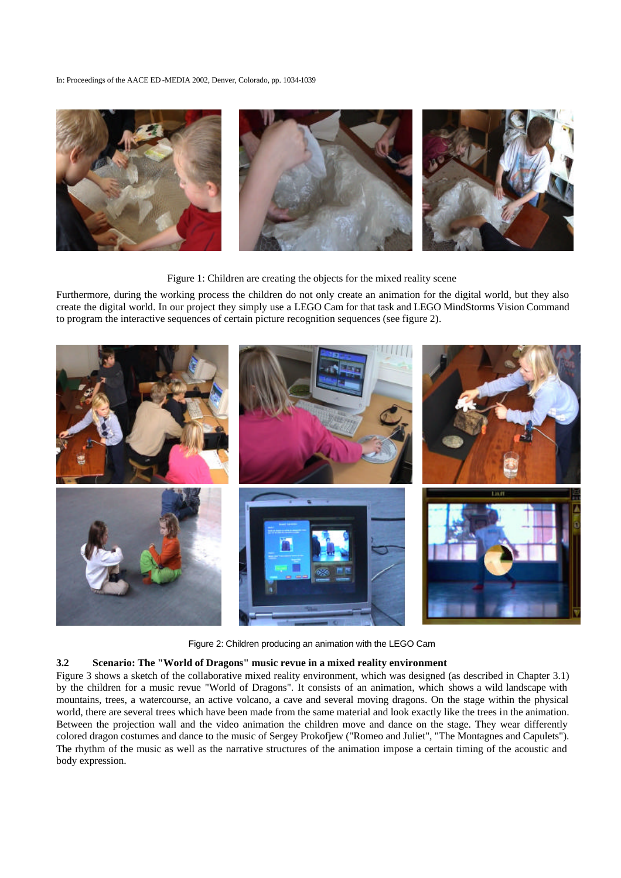

Figure 1: Children are creating the objects for the mixed reality scene

Furthermore, during the working process the children do not only create an animation for the digital world, but they also create the digital world. In our project they simply use a LEGO Cam for that task and LEGO MindStorms Vision Command to program the interactive sequences of certain picture recognition sequences (see figure 2).



Figure 2: Children producing an animation with the LEGO Cam

#### **3.2 Scenario: The "World of Dragons" music revue in a mixed reality environment**

Figure 3 shows a sketch of the collaborative mixed reality environment, which was designed (as described in Chapter 3.1) by the children for a music revue "World of Dragons". It consists of an animation, which shows a wild landscape with mountains, trees, a watercourse, an active volcano, a cave and several moving dragons. On the stage within the physical world, there are several trees which have been made from the same material and look exactly like the trees in the animation. Between the projection wall and the video animation the children move and dance on the stage. They wear differently colored dragon costumes and dance to the music of Sergey Prokofjew ("Romeo and Juliet", "The Montagnes and Capulets"). The rhythm of the music as well as the narrative structures of the animation impose a certain timing of the acoustic and body expression.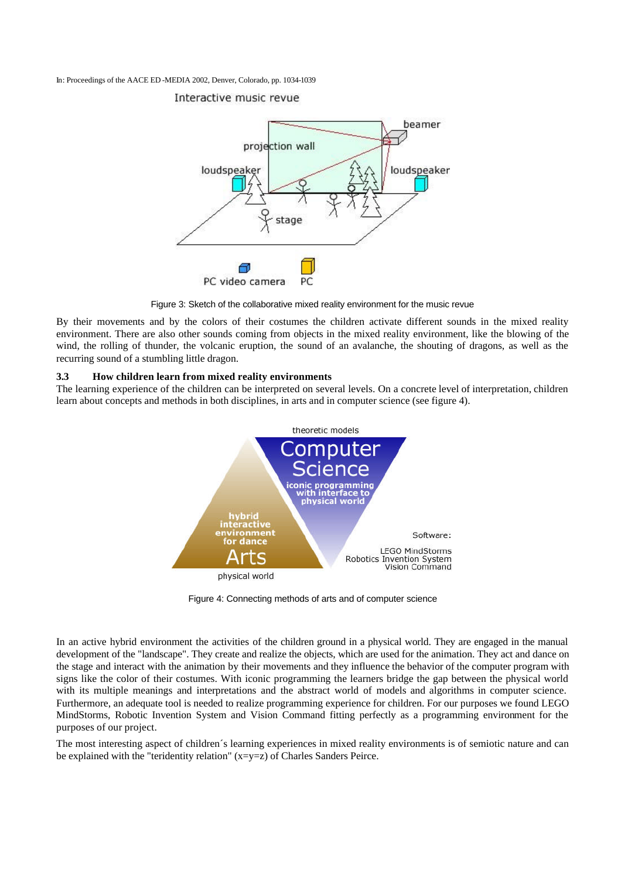# Interactive music revue



Figure 3: Sketch of the collaborative mixed reality environment for the music revue

By their movements and by the colors of their costumes the children activate different sounds in the mixed reality environment. There are also other sounds coming from objects in the mixed reality environment, like the blowing of the wind, the rolling of thunder, the volcanic eruption, the sound of an avalanche, the shouting of dragons, as well as the recurring sound of a stumbling little dragon.

### **3.3 How children learn from mixed reality environments**

The learning experience of the children can be interpreted on several levels. On a concrete level of interpretation, children learn about concepts and methods in both disciplines, in arts and in computer science (see figure 4).



Figure 4: Connecting methods of arts and of computer science

In an active hybrid environment the activities of the children ground in a physical world. They are engaged in the manual development of the "landscape". They create and realize the objects, which are used for the animation. They act and dance on the stage and interact with the animation by their movements and they influence the behavior of the computer program with signs like the color of their costumes. With iconic programming the learners bridge the gap between the physical world with its multiple meanings and interpretations and the abstract world of models and algorithms in computer science. Furthermore, an adequate tool is needed to realize programming experience for children. For our purposes we found LEGO MindStorms, Robotic Invention System and Vision Command fitting perfectly as a programming environment for the purposes of our project.

The most interesting aspect of children´s learning experiences in mixed reality environments is of semiotic nature and can be explained with the "teridentity relation" (x=y=z) of Charles Sanders Peirce.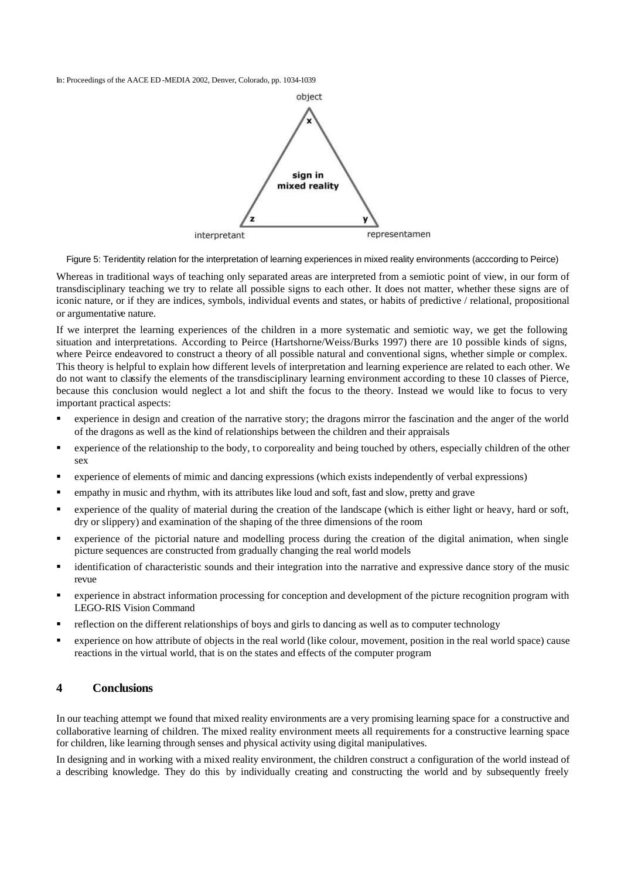

Figure 5: Teridentity relation for the interpretation of learning experiences in mixed reality environments (acccording to Peirce)

Whereas in traditional ways of teaching only separated areas are interpreted from a semiotic point of view, in our form of transdisciplinary teaching we try to relate all possible signs to each other. It does not matter, whether these signs are of iconic nature, or if they are indices, symbols, individual events and states, or habits of predictive / relational, propositional or argumentative nature.

If we interpret the learning experiences of the children in a more systematic and semiotic way, we get the following situation and interpretations. According to Peirce (Hartshorne/Weiss/Burks 1997) there are 10 possible kinds of signs, where Peirce endeavored to construct a theory of all possible natural and conventional signs, whether simple or complex. This theory is helpful to explain how different levels of interpretation and learning experience are related to each other. We do not want to classify the elements of the transdisciplinary learning environment according to these 10 classes of Pierce, because this conclusion would neglect a lot and shift the focus to the theory. Instead we would like to focus to very important practical aspects:

- ß experience in design and creation of the narrative story; the dragons mirror the fascination and the anger of the world of the dragons as well as the kind of relationships between the children and their appraisals
- **•** experience of the relationship to the body, to corporeality and being touched by others, especially children of the other sex
- ß experience of elements of mimic and dancing expressions (which exists independently of verbal expressions)
- ß empathy in music and rhythm, with its attributes like loud and soft, fast and slow, pretty and grave
- ß experience of the quality of material during the creation of the landscape (which is either light or heavy, hard or soft, dry or slippery) and examination of the shaping of the three dimensions of the room
- ß experience of the pictorial nature and modelling process during the creation of the digital animation, when single picture sequences are constructed from gradually changing the real world models
- ß identification of characteristic sounds and their integration into the narrative and expressive dance story of the music revue
- ß experience in abstract information processing for conception and development of the picture recognition program with LEGO-RIS Vision Command
- reflection on the different relationships of boys and girls to dancing as well as to computer technology
- ß experience on how attribute of objects in the real world (like colour, movement, position in the real world space) cause reactions in the virtual world, that is on the states and effects of the computer program

### **4 Conclusions**

In our teaching attempt we found that mixed reality environments are a very promising learning space for a constructive and collaborative learning of children. The mixed reality environment meets all requirements for a constructive learning space for children, like learning through senses and physical activity using digital manipulatives.

In designing and in working with a mixed reality environment, the children construct a configuration of the world instead of a describing knowledge. They do this by individually creating and constructing the world and by subsequently freely